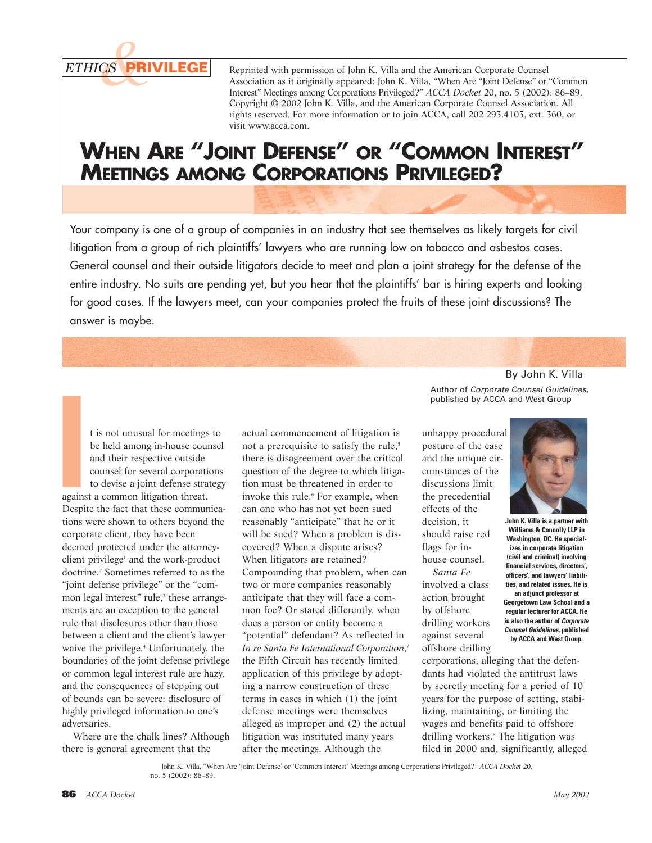*ETHICS &***PRIVILEGE**

Reprinted with permission of John K. Villa and the American Corporate Counsel Association as it originally appeared: John K. Villa, "When Are "Joint Defense" or "Common Interest" Meetings among Corporations Privileged?" *ACCA Docket* 20, no. 5 (2002): 86–89. Copyright © 2002 John K. Villa, and the American Corporate Counsel Association. All rights reserved. For more information or to join ACCA, call 202.293.4103, ext. 360, or visit www.acca.com.

## **WHEN ARE "JOINT DEFENSE" OR "COMMON INTEREST" MEETINGS AMONG CORPORATIONS PRIVILEGED?**

Your company is one of a group of companies in an industry that see themselves as likely targets for civil litigation from a group of rich plaintiffs' lawyers who are running low on tobacco and asbestos cases. General counsel and their outside litigators decide to meet and plan a joint strategy for the defense of the entire industry. No suits are pending yet, but you hear that the plaintiffs' bar is hiring experts and looking for good cases. If the lawyers meet, can your companies protect the fruits of these joint discussions? The answer is maybe.

t is not unusual for meetings to be held among in-house counsel and their respective outside counsel for several corporations to devise a joint defense strategy against a common litigation threat. Despite the fact that these communications were shown to others beyond the corporate client, they have been deemed protected under the attorneyclient privilege<sup>1</sup> and the work-product doctrine.<sup>2</sup> Sometimes referred to as the "joint defense privilege" or the "common legal interest" rule,<sup>3</sup> these arrangements are an exception to the general rule that disclosures other than those between a client and the client's lawyer waive the privilege.4 Unfortunately, the boundaries of the joint defense privilege or common legal interest rule are hazy, and the consequences of stepping out of bounds can be severe: disclosure of highly privileged information to one's adversaries. **I**

Where are the chalk lines? Although there is general agreement that the

actual commencement of litigation is not a prerequisite to satisfy the rule,<sup>5</sup> there is disagreement over the critical question of the degree to which litigation must be threatened in order to invoke this rule.<sup>6</sup> For example, when can one who has not yet been sued reasonably "anticipate" that he or it will be sued? When a problem is discovered? When a dispute arises? When litigators are retained? Compounding that problem, when can two or more companies reasonably anticipate that they will face a common foe? Or stated differently, when does a person or entity become a "potential" defendant? As reflected in *In re Santa Fe International Corporation*, 7 the Fifth Circuit has recently limited application of this privilege by adopting a narrow construction of these terms in cases in which (1) the joint defense meetings were themselves alleged as improper and (2) the actual litigation was instituted many years after the meetings. Although the

By John K. Villa Author of *Corporate Counsel Guidelines*, published by ACCA and West Group

unhappy procedural posture of the case and the unique circumstances of the discussions limit the precedential effects of the decision, it should raise red flags for inhouse counsel.

*Santa Fe* involved a class action brought by offshore drilling workers against several offshore drilling

corporations, alleging that the defendants had violated the antitrust laws by secretly meeting for a period of 10 years for the purpose of setting, stabilizing, maintaining, or limiting the wages and benefits paid to offshore drilling workers.<sup>8</sup> The litigation was filed in 2000 and, significantly, alleged

John K. Villa, "When Are 'Joint Defense' or 'Common Interest' Meetings among Corporations Privileged?" *ACCA Docket* 20, no. 5 (2002): 86–89.



**John K. Villa is a partner with Williams & Connolly LLP in Washington, DC. He specializes in corporate litigation (civil and criminal) involving financial services, directors', officers', and lawyers' liabilities, and related issues. He is**

**an adjunct professor at Georgetown Law School and a regular lecturer for ACCA. He is also the author of** *Corporate Counsel Guidelines***, published by ACCA and West Group.**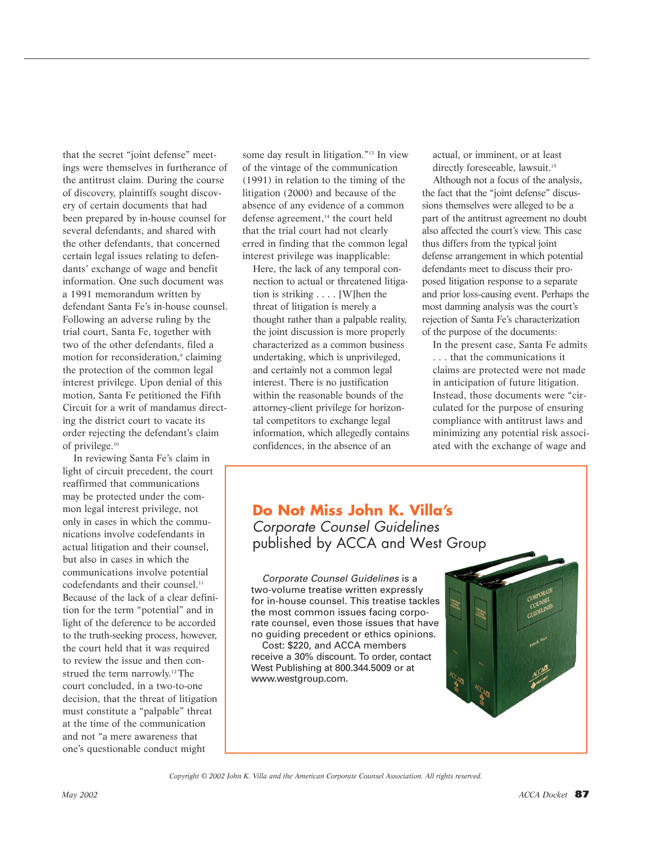that the secret "joint defense" meetings were themselves in furtherance of the antitrust claim. During the course of discovery, plaintiffs sought discovery of certain documents that had been prepared by in-house counsel for several defendants, and shared with the other defendants, that concerned certain legal issues relating to defendants' exchange of wage and benefit information. One such document was a 1991 memorandum written by defendant Santa Fe's in-house counsel. Following an adverse ruling by the trial court, Santa Fe, together with two of the other defendants, filed a motion for reconsideration,<sup>9</sup> claiming the protection of the common legal interest privilege. Upon denial of this motion, Santa Fe petitioned the Fifth Circuit for a writ of mandamus directing the district court to vacate its order rejecting the defendant's claim of privilege.10

In reviewing Santa Fe's claim in light of circuit precedent, the court reaffirmed that communications may be protected under the common legal interest privilege, not only in cases in which the communications involve codefendants in actual litigation and their counsel, but also in cases in which the communications involve potential codefendants and their counsel.<sup>11</sup> Because of the lack of a clear definition for the term "potential" and in light of the deference to be accorded to the truth-seeking process, however, the court held that it was required to review the issue and then construed the term narrowly.<sup>12</sup> The court concluded, in a two-to-one decision, that the threat of litigation must constitute a "palpable" threat at the time of the communication and not "a mere awareness that one's questionable conduct might

some day result in litigation."13 In view of the vintage of the communication (1991) in relation to the timing of the litigation (2000) and because of the absence of any evidence of a common defense agreement,<sup>14</sup> the court held that the trial court had not clearly erred in finding that the common legal interest privilege was inapplicable:

Here, the lack of any temporal connection to actual or threatened litigation is striking . . . . [W]hen the threat of litigation is merely a thought rather than a palpable reality, the joint discussion is more properly characterized as a common business undertaking, which is unprivileged, and certainly not a common legal interest. There is no justification within the reasonable bounds of the attorney-client privilege for horizontal competitors to exchange legal information, which allegedly contains confidences, in the absence of an

actual, or imminent, or at least directly foreseeable, lawsuit.<sup>15</sup>

Although not a focus of the analysis, the fact that the "joint defense" discussions themselves were alleged to be a part of the antitrust agreement no doubt also affected the court's view. This case thus differs from the typical joint defense arrangement in which potential defendants meet to discuss their proposed litigation response to a separate and prior loss-causing event. Perhaps the most damning analysis was the court's rejection of Santa Fe's characterization of the purpose of the documents:

In the present case, Santa Fe admits . . . that the communications it claims are protected were not made in anticipation of future litigation. Instead, those documents were "circulated for the purpose of ensuring compliance with antitrust laws and minimizing any potential risk associated with the exchange of wage and

## **Do Not Miss John K. Villa's** *Corporate Counsel Guidelines* published by ACCA and West Group

*Corporate Counsel Guidelines* is a two-volume treatise written expressly for in-house counsel. This treatise tackles the most common issues facing corporate counsel, even those issues that have no guiding precedent or ethics opinions.

Cost: \$220, and ACCA members receive a 30% discount. To order, contact West Publishing at 800.344.5009 or at www.westgroup.com.



*Copyright © 2002 John K. Villa and the American Corporate Counsel Association. All rights reserved.*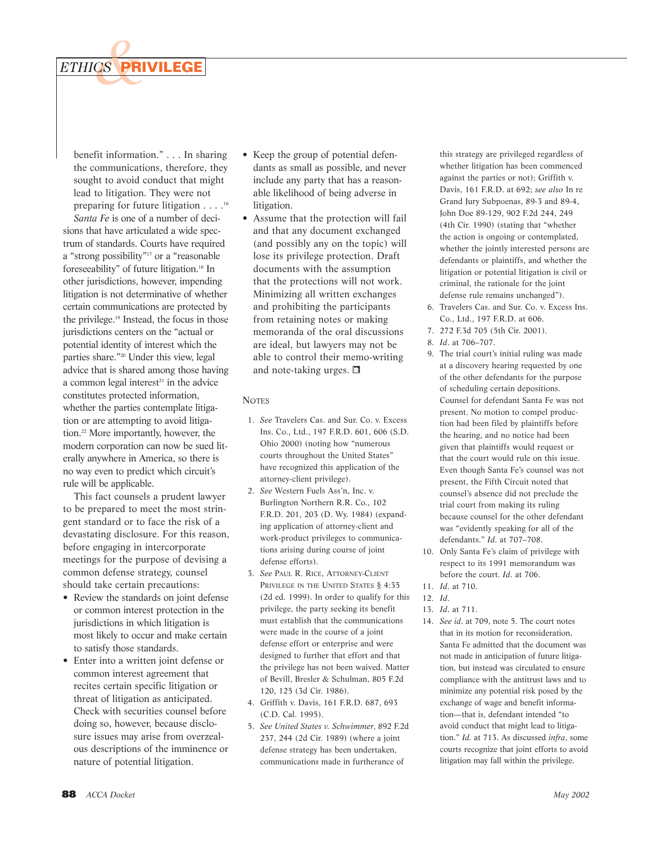

benefit information." . . . In sharing the communications, therefore, they sought to avoid conduct that might lead to litigation. They were not preparing for future litigation . . . .16

*Santa Fe* is one of a number of decisions that have articulated a wide spectrum of standards. Courts have required a "strong possibility"17 or a "reasonable foreseeability" of future litigation.18 In other jurisdictions, however, impending litigation is not determinative of whether certain communications are protected by the privilege.19 Instead, the focus in those jurisdictions centers on the "actual or potential identity of interest which the parties share."20 Under this view, legal advice that is shared among those having a common legal interest $21$  in the advice constitutes protected information, whether the parties contemplate litigation or are attempting to avoid litigation.22 More importantly, however, the modern corporation can now be sued literally anywhere in America, so there is no way even to predict which circuit's rule will be applicable.

This fact counsels a prudent lawyer to be prepared to meet the most stringent standard or to face the risk of a devastating disclosure. For this reason, before engaging in intercorporate meetings for the purpose of devising a common defense strategy, counsel should take certain precautions:

- Review the standards on joint defense or common interest protection in the jurisdictions in which litigation is most likely to occur and make certain to satisfy those standards.
- Enter into a written joint defense or common interest agreement that recites certain specific litigation or threat of litigation as anticipated. Check with securities counsel before doing so, however, because disclosure issues may arise from overzealous descriptions of the imminence or nature of potential litigation.
- Keep the group of potential defendants as small as possible, and never include any party that has a reasonable likelihood of being adverse in litigation.
- Assume that the protection will fail and that any document exchanged (and possibly any on the topic) will lose its privilege protection. Draft documents with the assumption that the protections will not work. Minimizing all written exchanges and prohibiting the participants from retaining notes or making memoranda of the oral discussions are ideal, but lawyers may not be able to control their memo-writing and note-taking urges.  $\blacksquare$

## **NOTES**

- 1. *See* Travelers Cas. and Sur. Co. v. Excess Ins. Co., Ltd., 197 F.R.D. 601, 606 (S.D. Ohio 2000) (noting how "numerous courts throughout the United States" have recognized this application of the attorney-client privilege).
- 2. *See* Western Fuels Ass'n, Inc. v. Burlington Northern R.R. Co., 102 F.R.D. 201, 203 (D. Wy. 1984) (expanding application of attorney-client and work-product privileges to communications arising during course of joint defense efforts).
- 3. *See* PAUL R. RICE, ATTORNEY-CLIENT PRIVILEGE IN THE UNITED STATES § 4:35 (2d ed. 1999). In order to qualify for this privilege, the party seeking its benefit must establish that the communications were made in the course of a joint defense effort or enterprise and were designed to further that effort and that the privilege has not been waived. Matter of Bevill, Bresler & Schulman, 805 F.2d 120, 125 (3d Cir. 1986).
- 4. Griffith v. Davis, 161 F.R.D. 687, 693 (C.D. Cal. 1995).
- 5. *See United States v. Schwimmer*, 892 F.2d 237, 244 (2d Cir. 1989) (where a joint defense strategy has been undertaken, communications made in furtherance of

this strategy are privileged regardless of whether litigation has been commenced against the parties or not); Griffith v. Davis, 161 F.R.D. at 692; *see also* In re Grand Jury Subpoenas, 89-3 and 89-4, John Doe 89-129, 902 F.2d 244, 249 (4th Cir. 1990) (stating that "whether the action is ongoing or contemplated, whether the jointly interested persons are defendants or plaintiffs, and whether the litigation or potential litigation is civil or criminal, the rationale for the joint defense rule remains unchanged").

- 6. Travelers Cas. and Sur. Co. v. Excess Ins. Co., Ltd., 197 F.R.D. at 606.
- 7. 272 F.3d 705 (5th Cir. 2001).
- 8. *Id*. at 706–707.
- 9. The trial court's initial ruling was made at a discovery hearing requested by one of the other defendants for the purpose of scheduling certain depositions. Counsel for defendant Santa Fe was not present. No motion to compel production had been filed by plaintiffs before the hearing, and no notice had been given that plaintiffs would request or that the court would rule on this issue. Even though Santa Fe's counsel was not present, the Fifth Circuit noted that counsel's absence did not preclude the trial court from making its ruling because counsel for the other defendant was "evidently speaking for all of the defendants." *Id*. at 707–708.
- 10. Only Santa Fe's claim of privilege with respect to its 1991 memorandum was before the court. *Id*. at 706.
- 11. *Id*. at 710.
- 12. *Id*.
- 13. *Id*. at 711.
- 14. *See id*. at 709, note 5. The court notes that in its motion for reconsideration, Santa Fe admitted that the document was not made in anticipation of future litigation, but instead was circulated to ensure compliance with the antitrust laws and to minimize any potential risk posed by the exchange of wage and benefit information—that is, defendant intended "to avoid conduct that might lead to litigation." *Id.* at 713. As discussed *infra*, some courts recognize that joint efforts to avoid litigation may fall within the privilege.